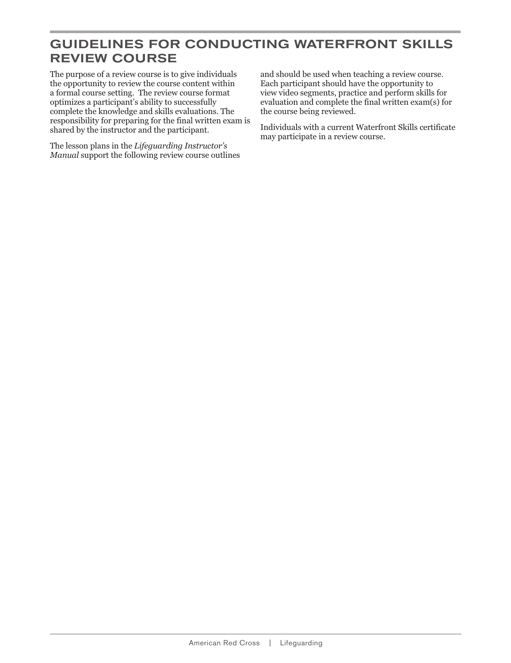## **GUIDELINES FOR CONDUCTING WATERFRONT SKILLS REVIEW COURSE**

The purpose of a review course is to give individuals the opportunity to review the course content within a formal course setting. The review course format optimizes a participant's ability to successfully complete the knowledge and skills evaluations. The responsibility for preparing for the final written exam is shared by the instructor and the participant.

The lesson plans in the *Lifeguarding Instructor's Manual* support the following review course outlines and should be used when teaching a review course. Each participant should have the opportunity to view video segments, practice and perform skills for evaluation and complete the final written exam(s) for the course being reviewed.

Individuals with a current Waterfront Skills certificate may participate in a review course.